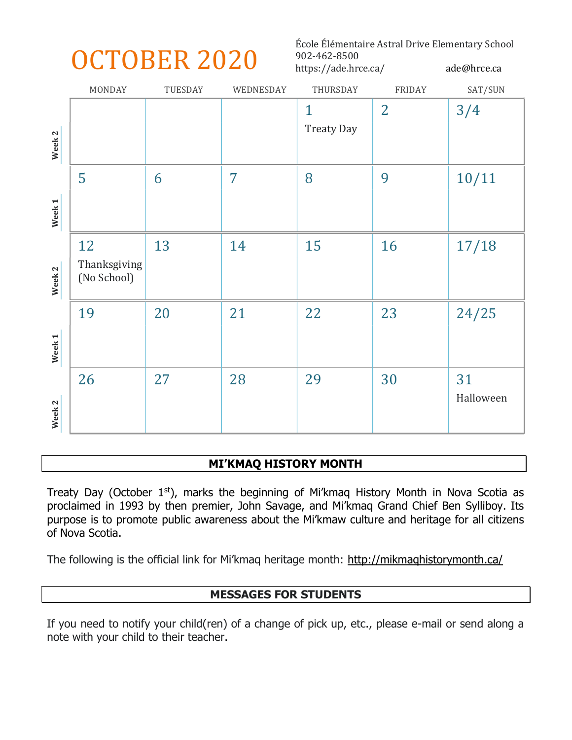# OCTOBER 2020

École Élémentaire Astral Drive Elementary School 902-462-8500 https://ade.hrce.ca/ ade@hrce.ca

|                   | MONDAY                      | TUESDAY | WEDNESDAY      | THURSDAY                          | <b>FRIDAY</b>  | SAT/SUN         |
|-------------------|-----------------------------|---------|----------------|-----------------------------------|----------------|-----------------|
|                   |                             |         |                | $\mathbf{1}$<br><b>Treaty Day</b> | $\overline{2}$ | 3/4             |
| Week <sub>2</sub> |                             |         |                |                                   |                |                 |
|                   | 5                           | 6       | $\overline{7}$ | 8                                 | 9              | 10/11           |
| Week 1            |                             |         |                |                                   |                |                 |
|                   | 12                          | 13      | 14             | 15                                | 16             | 17/18           |
| Week <sub>2</sub> | Thanksgiving<br>(No School) |         |                |                                   |                |                 |
|                   | 19                          | 20      | 21             | 22                                | 23             | 24/25           |
| Week <sub>1</sub> |                             |         |                |                                   |                |                 |
|                   | 26                          | 27      | 28             | 29                                | 30             | 31<br>Halloween |
| Week <sub>2</sub> |                             |         |                |                                   |                |                 |

## MI'KMAQ HISTORY MONTH

Treaty Day (October  $1<sup>st</sup>$ ), marks the beginning of Mi'kmaq History Month in Nova Scotia as proclaimed in 1993 by then premier, John Savage, and Mi'kmaq Grand Chief Ben Sylliboy. Its purpose is to promote public awareness about the Mi'kmaw culture and heritage for all citizens of Nova Scotia.

The following is the official link for Mi'kmaq heritage month: http://mikmaqhistorymonth.ca/

# MESSAGES FOR STUDENTS

If you need to notify your child(ren) of a change of pick up, etc., please e-mail or send along a note with your child to their teacher.